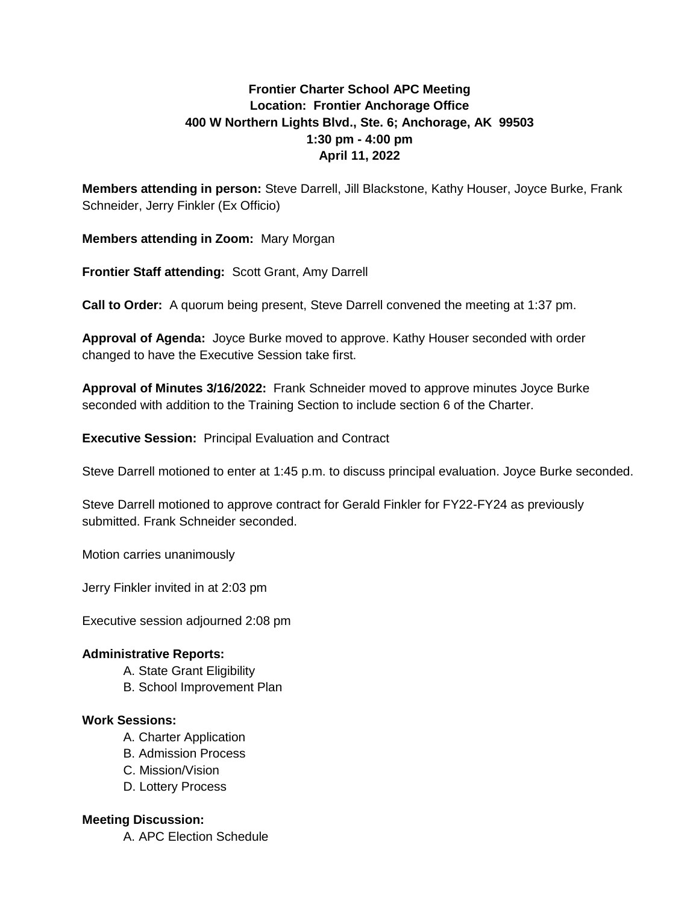# **Frontier Charter School APC Meeting Location: Frontier Anchorage Office 400 W Northern Lights Blvd., Ste. 6; Anchorage, AK 99503 1:30 pm - 4:00 pm April 11, 2022**

**Members attending in person:** Steve Darrell, Jill Blackstone, Kathy Houser, Joyce Burke, Frank Schneider, Jerry Finkler (Ex Officio)

**Members attending in Zoom:** Mary Morgan

**Frontier Staff attending:** Scott Grant, Amy Darrell

**Call to Order:** A quorum being present, Steve Darrell convened the meeting at 1:37 pm.

**Approval of Agenda:** Joyce Burke moved to approve. Kathy Houser seconded with order changed to have the Executive Session take first.

**Approval of Minutes 3/16/2022:** Frank Schneider moved to approve minutes Joyce Burke seconded with addition to the Training Section to include section 6 of the Charter.

**Executive Session:** Principal Evaluation and Contract

Steve Darrell motioned to enter at 1:45 p.m. to discuss principal evaluation. Joyce Burke seconded.

Steve Darrell motioned to approve contract for Gerald Finkler for FY22-FY24 as previously submitted. Frank Schneider seconded.

Motion carries unanimously

Jerry Finkler invited in at 2:03 pm

Executive session adjourned 2:08 pm

## **Administrative Reports:**

- A. State Grant Eligibility
- B. School Improvement Plan

#### **Work Sessions:**

- A. Charter Application
- B. Admission Process
- C. Mission/Vision
- D. Lottery Process

## **Meeting Discussion:**

A. APC Election Schedule